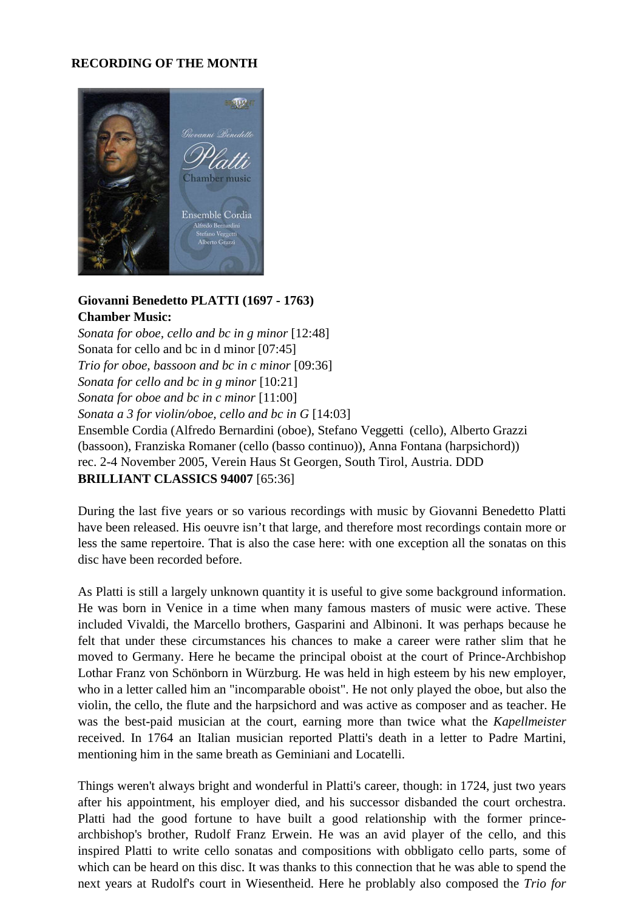## **RECORDING OF THE MONTH**



## **Giovanni Benedetto PLATTI (1697 - 1763) Chamber Music:**

*Sonata for oboe, cello and bc in g minor* [12:48] Sonata for cello and bc in d minor [07:45] *Trio for oboe, bassoon and bc in c minor* [09:36] *Sonata for cello and bc in g minor* [10:21] *Sonata for oboe and bc in c minor* [11:00] *Sonata a 3 for violin/oboe, cello and bc in G* [14:03] Ensemble Cordia (Alfredo Bernardini (oboe), Stefano Veggetti (cello), Alberto Grazzi (bassoon), Franziska Romaner (cello (basso continuo)), Anna Fontana (harpsichord)) rec. 2-4 November 2005, Verein Haus St Georgen, South Tirol, Austria. DDD **BRILLIANT CLASSICS 94007** [65:36]

During the last five years or so various recordings with music by Giovanni Benedetto Platti have been released. His oeuvre isn't that large, and therefore most recordings contain more or less the same repertoire. That is also the case here: with one exception all the sonatas on this disc have been recorded before.

As Platti is still a largely unknown quantity it is useful to give some background information. He was born in Venice in a time when many famous masters of music were active. These included Vivaldi, the Marcello brothers, Gasparini and Albinoni. It was perhaps because he felt that under these circumstances his chances to make a career were rather slim that he moved to Germany. Here he became the principal oboist at the court of Prince-Archbishop Lothar Franz von Schönborn in Würzburg. He was held in high esteem by his new employer, who in a letter called him an "incomparable oboist". He not only played the oboe, but also the violin, the cello, the flute and the harpsichord and was active as composer and as teacher. He was the best-paid musician at the court, earning more than twice what the *Kapellmeister*  received. In 1764 an Italian musician reported Platti's death in a letter to Padre Martini, mentioning him in the same breath as Geminiani and Locatelli.

Things weren't always bright and wonderful in Platti's career, though: in 1724, just two years after his appointment, his employer died, and his successor disbanded the court orchestra. Platti had the good fortune to have built a good relationship with the former princearchbishop's brother, Rudolf Franz Erwein. He was an avid player of the cello, and this inspired Platti to write cello sonatas and compositions with obbligato cello parts, some of which can be heard on this disc. It was thanks to this connection that he was able to spend the next years at Rudolf's court in Wiesentheid. Here he problably also composed the *Trio for*